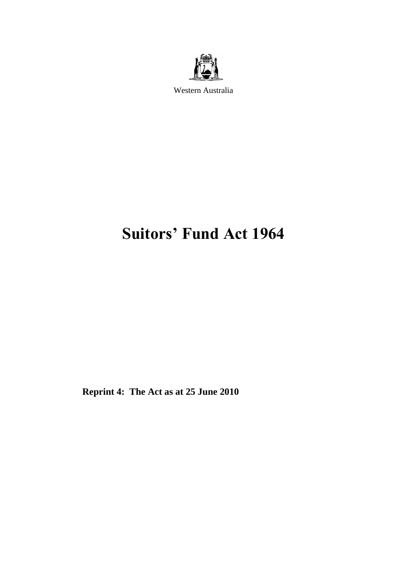

Western Australia

# **Suitors' Fund Act 1964**

**Reprint 4: The Act as at 25 June 2010**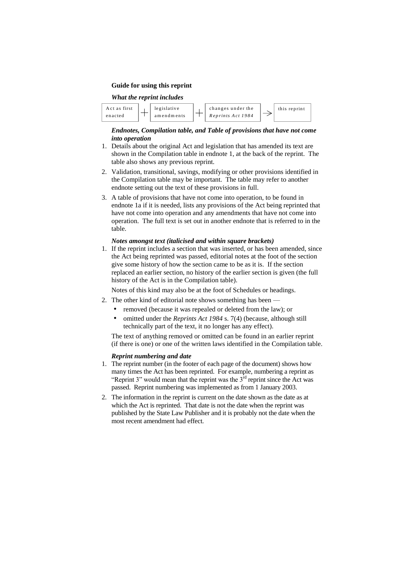#### **Guide for using this reprint**



#### *Endnotes, Compilation table, and Table of provisions that have not come into operation*

- 1. Details about the original Act and legislation that has amended its text are shown in the Compilation table in endnote 1, at the back of the reprint. The table also shows any previous reprint.
- 2. Validation, transitional, savings, modifying or other provisions identified in the Compilation table may be important. The table may refer to another endnote setting out the text of these provisions in full.
- 3. A table of provisions that have not come into operation, to be found in endnote 1a if it is needed, lists any provisions of the Act being reprinted that have not come into operation and any amendments that have not come into operation. The full text is set out in another endnote that is referred to in the table.

#### *Notes amongst text (italicised and within square brackets)*

1. If the reprint includes a section that was inserted, or has been amended, since the Act being reprinted was passed, editorial notes at the foot of the section give some history of how the section came to be as it is. If the section replaced an earlier section, no history of the earlier section is given (the full history of the Act is in the Compilation table).

Notes of this kind may also be at the foot of Schedules or headings.

- 2. The other kind of editorial note shows something has been -
	- removed (because it was repealed or deleted from the law); or
	- omitted under the *Reprints Act 1984* s. 7(4) (because, although still technically part of the text, it no longer has any effect).

The text of anything removed or omitted can be found in an earlier reprint (if there is one) or one of the written laws identified in the Compilation table.

#### *Reprint numbering and date*

- 1. The reprint number (in the footer of each page of the document) shows how many times the Act has been reprinted. For example, numbering a reprint as "Reprint 3" would mean that the reprint was the  $3<sup>rd</sup>$  reprint since the Act was passed. Reprint numbering was implemented as from 1 January 2003.
- 2. The information in the reprint is current on the date shown as the date as at which the Act is reprinted. That date is not the date when the reprint was published by the State Law Publisher and it is probably not the date when the most recent amendment had effect.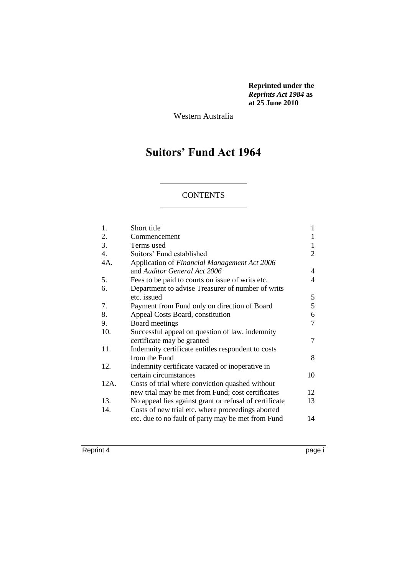**Reprinted under the**  *Reprints Act 1984* **as at 25 June 2010**

Western Australia

# **Suitors' Fund Act 1964**

#### **CONTENTS**

| 1.               | Short title                                            | 1  |
|------------------|--------------------------------------------------------|----|
| 2.               | Commencement                                           | 1  |
| 3.               | Terms used                                             | 1  |
| $\overline{4}$ . | Suitors' Fund established                              | 2  |
| 4A.              | Application of Financial Management Act 2006           |    |
|                  | and Auditor General Act 2006                           | 4  |
| 5.               | Fees to be paid to courts on issue of writs etc.       | 4  |
| 6.               | Department to advise Treasurer of number of writs      |    |
|                  | etc. issued                                            | 5  |
| 7.               | Payment from Fund only on direction of Board           | 5  |
| 8.               | Appeal Costs Board, constitution                       | 6  |
| 9.               | Board meetings                                         | 7  |
| 10.              | Successful appeal on question of law, indemnity        |    |
|                  | certificate may be granted                             | 7  |
| 11.              | Indemnity certificate entitles respondent to costs     |    |
|                  | from the Fund                                          | 8  |
| 12.              | Indemnity certificate vacated or inoperative in        |    |
|                  | certain circumstances                                  | 10 |
| 12A.             | Costs of trial where conviction quashed without        |    |
|                  | new trial may be met from Fund; cost certificates      | 12 |
| 13.              | No appeal lies against grant or refusal of certificate | 13 |
| 14.              | Costs of new trial etc. where proceedings aborted      |    |
|                  | etc. due to no fault of party may be met from Fund     | 14 |
|                  |                                                        |    |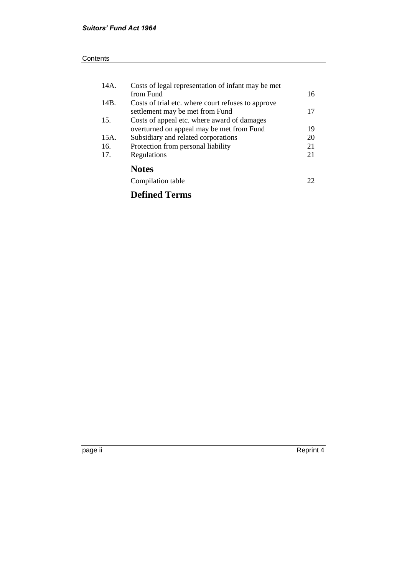|      | <b>Defined Terms</b>                               |    |
|------|----------------------------------------------------|----|
|      | Compilation table                                  | 22 |
|      | <b>Notes</b>                                       |    |
| 17.  | Regulations                                        | 21 |
| 16.  | Protection from personal liability                 | 21 |
| 15A. | Subsidiary and related corporations                | 20 |
|      | overturned on appeal may be met from Fund          | 19 |
| 15.  | Costs of appeal etc. where award of damages        |    |
|      | settlement may be met from Fund                    | 17 |
| 14B. | Costs of trial etc. where court refuses to approve |    |
|      | from Fund                                          | 16 |
| 14A. | Costs of legal representation of infant may be met |    |

page ii Reprint 4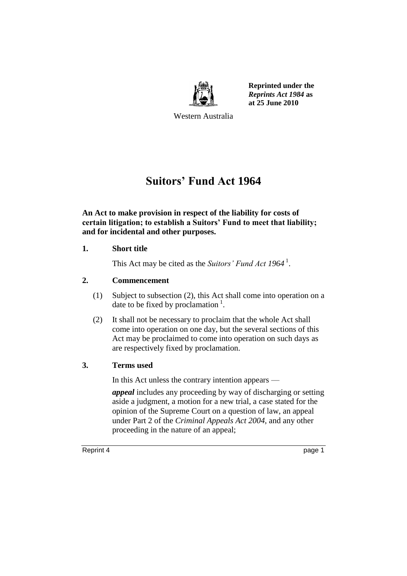

**Reprinted under the**  *Reprints Act 1984* **as at 25 June 2010**

Western Australia

# **Suitors' Fund Act 1964**

**An Act to make provision in respect of the liability for costs of certain litigation; to establish a Suitors' Fund to meet that liability; and for incidental and other purposes.**

#### **1. Short title**

This Act may be cited as the *Suitors' Fund Act 1964* <sup>1</sup> .

#### **2. Commencement**

- (1) Subject to subsection (2), this Act shall come into operation on a date to be fixed by proclamation  $<sup>1</sup>$ .</sup>
- (2) It shall not be necessary to proclaim that the whole Act shall come into operation on one day, but the several sections of this Act may be proclaimed to come into operation on such days as are respectively fixed by proclamation.

#### **3. Terms used**

In this Act unless the contrary intention appears —

*appeal* includes any proceeding by way of discharging or setting aside a judgment, a motion for a new trial, a case stated for the opinion of the Supreme Court on a question of law, an appeal under Part 2 of the *Criminal Appeals Act 2004*, and any other proceeding in the nature of an appeal;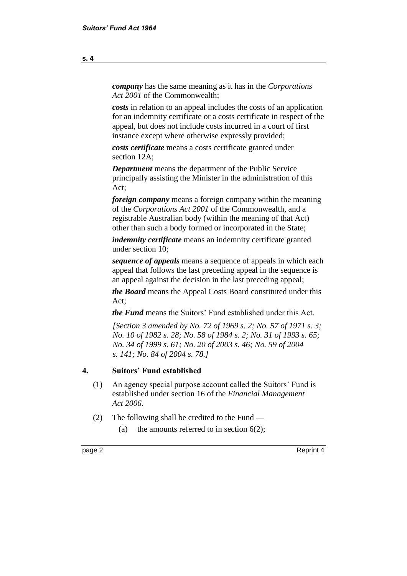*company* has the same meaning as it has in the *Corporations Act 2001* of the Commonwealth;

*costs* in relation to an appeal includes the costs of an application for an indemnity certificate or a costs certificate in respect of the appeal, but does not include costs incurred in a court of first instance except where otherwise expressly provided;

*costs certificate* means a costs certificate granted under section 12A;

*Department* means the department of the Public Service principally assisting the Minister in the administration of this Act;

*foreign company* means a foreign company within the meaning of the *Corporations Act 2001* of the Commonwealth, and a registrable Australian body (within the meaning of that Act) other than such a body formed or incorporated in the State;

*indemnity certificate* means an indemnity certificate granted under section 10;

*sequence of appeals* means a sequence of appeals in which each appeal that follows the last preceding appeal in the sequence is an appeal against the decision in the last preceding appeal;

*the Board* means the Appeal Costs Board constituted under this Act;

*the Fund* means the Suitors' Fund established under this Act.

*[Section 3 amended by No. 72 of 1969 s. 2; No. 57 of 1971 s. 3; No. 10 of 1982 s. 28; No. 58 of 1984 s. 2; No. 31 of 1993 s. 65; No. 34 of 1999 s. 61; No. 20 of 2003 s. 46; No. 59 of 2004 s. 141; No. 84 of 2004 s. 78.]*

#### **4. Suitors' Fund established**

- (1) An agency special purpose account called the Suitors' Fund is established under section 16 of the *Financial Management Act 2006*.
- (2) The following shall be credited to the Fund
	- (a) the amounts referred to in section  $6(2)$ ;

page 2 Reprint 4

**s. 4**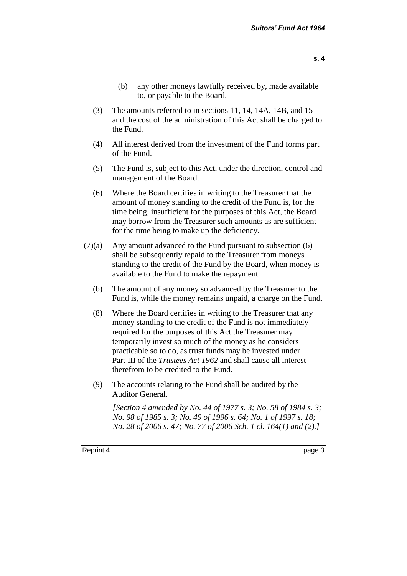- (b) any other moneys lawfully received by, made available to, or payable to the Board.
- (3) The amounts referred to in sections 11, 14, 14A, 14B, and 15 and the cost of the administration of this Act shall be charged to the Fund.
- (4) All interest derived from the investment of the Fund forms part of the Fund.
- (5) The Fund is, subject to this Act, under the direction, control and management of the Board.
- (6) Where the Board certifies in writing to the Treasurer that the amount of money standing to the credit of the Fund is, for the time being, insufficient for the purposes of this Act, the Board may borrow from the Treasurer such amounts as are sufficient for the time being to make up the deficiency.
- $(7)(a)$  Any amount advanced to the Fund pursuant to subsection  $(6)$ shall be subsequently repaid to the Treasurer from moneys standing to the credit of the Fund by the Board, when money is available to the Fund to make the repayment.
	- (b) The amount of any money so advanced by the Treasurer to the Fund is, while the money remains unpaid, a charge on the Fund.
	- (8) Where the Board certifies in writing to the Treasurer that any money standing to the credit of the Fund is not immediately required for the purposes of this Act the Treasurer may temporarily invest so much of the money as he considers practicable so to do, as trust funds may be invested under Part III of the *Trustees Act 1962* and shall cause all interest therefrom to be credited to the Fund.
	- (9) The accounts relating to the Fund shall be audited by the Auditor General.

*[Section 4 amended by No. 44 of 1977 s. 3; No. 58 of 1984 s. 3; No. 98 of 1985 s. 3; No. 49 of 1996 s. 64; No. 1 of 1997 s. 18; No. 28 of 2006 s. 47; No. 77 of 2006 Sch. 1 cl. 164(1) and (2).]*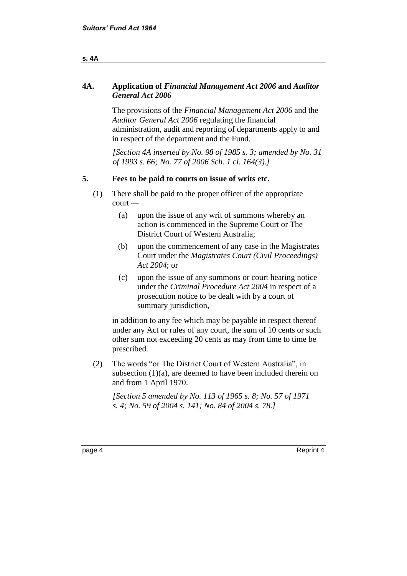#### **s. 4A**

#### **4A. Application of** *Financial Management Act 2006* **and** *Auditor General Act 2006*

The provisions of the *Financial Management Act 2006* and the *Auditor General Act 2006* regulating the financial administration, audit and reporting of departments apply to and in respect of the department and the Fund.

*[Section 4A inserted by No. 98 of 1985 s. 3; amended by No. 31 of 1993 s. 66; No. 77 of 2006 Sch. 1 cl. 164(3).]*

#### **5. Fees to be paid to courts on issue of writs etc.**

- (1) There shall be paid to the proper officer of the appropriate court —
	- (a) upon the issue of any writ of summons whereby an action is commenced in the Supreme Court or The District Court of Western Australia;
	- (b) upon the commencement of any case in the Magistrates Court under the *Magistrates Court (Civil Proceedings) Act 2004*; or
	- (c) upon the issue of any summons or court hearing notice under the *Criminal Procedure Act 2004* in respect of a prosecution notice to be dealt with by a court of summary jurisdiction,

in addition to any fee which may be payable in respect thereof under any Act or rules of any court, the sum of 10 cents or such other sum not exceeding 20 cents as may from time to time be prescribed.

(2) The words "or The District Court of Western Australia", in subsection  $(1)(a)$ , are deemed to have been included therein on and from 1 April 1970.

*[Section 5 amended by No. 113 of 1965 s. 8; No. 57 of 1971 s. 4; No. 59 of 2004 s. 141; No. 84 of 2004 s. 78.]*

page 4 Reprint 4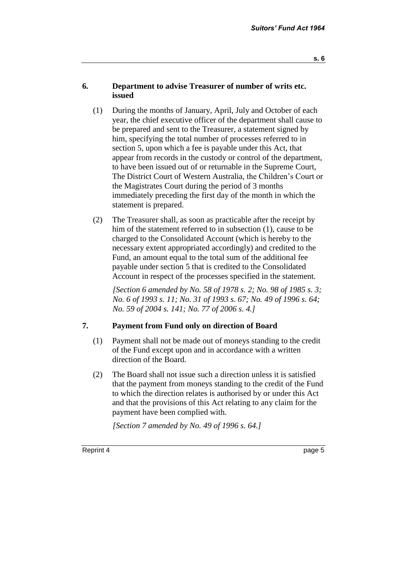#### **6. Department to advise Treasurer of number of writs etc. issued**

- (1) During the months of January, April, July and October of each year, the chief executive officer of the department shall cause to be prepared and sent to the Treasurer, a statement signed by him, specifying the total number of processes referred to in section 5, upon which a fee is payable under this Act, that appear from records in the custody or control of the department, to have been issued out of or returnable in the Supreme Court, The District Court of Western Australia, the Children's Court or the Magistrates Court during the period of 3 months immediately preceding the first day of the month in which the statement is prepared.
- (2) The Treasurer shall, as soon as practicable after the receipt by him of the statement referred to in subsection (1), cause to be charged to the Consolidated Account (which is hereby to the necessary extent appropriated accordingly) and credited to the Fund, an amount equal to the total sum of the additional fee payable under section 5 that is credited to the Consolidated Account in respect of the processes specified in the statement.

*[Section 6 amended by No. 58 of 1978 s. 2; No. 98 of 1985 s. 3; No. 6 of 1993 s. 11; No. 31 of 1993 s. 67; No. 49 of 1996 s. 64; No. 59 of 2004 s. 141; No. 77 of 2006 s. 4.]*

### **7. Payment from Fund only on direction of Board**

- (1) Payment shall not be made out of moneys standing to the credit of the Fund except upon and in accordance with a written direction of the Board.
- (2) The Board shall not issue such a direction unless it is satisfied that the payment from moneys standing to the credit of the Fund to which the direction relates is authorised by or under this Act and that the provisions of this Act relating to any claim for the payment have been complied with.

*[Section 7 amended by No. 49 of 1996 s. 64.]*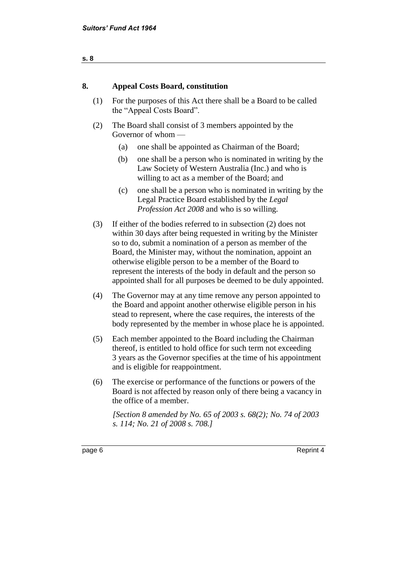| 8.  | <b>Appeal Costs Board, constitution</b>                                                                                                                                                                                                                                                                                                                                                                                                                            |
|-----|--------------------------------------------------------------------------------------------------------------------------------------------------------------------------------------------------------------------------------------------------------------------------------------------------------------------------------------------------------------------------------------------------------------------------------------------------------------------|
| (1) | For the purposes of this Act there shall be a Board to be called<br>the "Appeal Costs Board".                                                                                                                                                                                                                                                                                                                                                                      |
| (2) | The Board shall consist of 3 members appointed by the<br>Governor of whom —                                                                                                                                                                                                                                                                                                                                                                                        |
|     | one shall be appointed as Chairman of the Board;<br>(a)                                                                                                                                                                                                                                                                                                                                                                                                            |
|     | (b)<br>one shall be a person who is nominated in writing by the<br>Law Society of Western Australia (Inc.) and who is<br>willing to act as a member of the Board; and                                                                                                                                                                                                                                                                                              |
|     | (c)<br>one shall be a person who is nominated in writing by the<br>Legal Practice Board established by the Legal<br><i>Profession Act 2008</i> and who is so willing.                                                                                                                                                                                                                                                                                              |
| (3) | If either of the bodies referred to in subsection (2) does not<br>within 30 days after being requested in writing by the Minister<br>so to do, submit a nomination of a person as member of the<br>Board, the Minister may, without the nomination, appoint an<br>otherwise eligible person to be a member of the Board to<br>represent the interests of the body in default and the person so<br>appointed shall for all purposes be deemed to be duly appointed. |
| (4) | The Governor may at any time remove any person appointed to<br>the Board and appoint another otherwise eligible person in his<br>stead to represent, where the case requires, the interests of the<br>body represented by the member in whose place he is appointed.                                                                                                                                                                                               |
| (5) | Each member appointed to the Board including the Chairman<br>thereof, is entitled to hold office for such term not exceeding<br>3 years as the Governor specifies at the time of his appointment                                                                                                                                                                                                                                                                   |

(6) The exercise or performance of the functions or powers of the Board is not affected by reason only of there being a vacancy in the office of a member.

and is eligible for reappointment.

*[Section 8 amended by No. 65 of 2003 s. 68(2); No. 74 of 2003 s. 114; No. 21 of 2008 s. 708.]*

page 6 Reprint 4

**s. 8**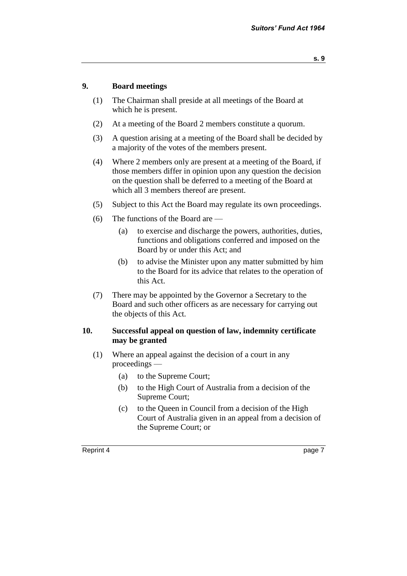#### **9. Board meetings**

- (1) The Chairman shall preside at all meetings of the Board at which he is present.
- (2) At a meeting of the Board 2 members constitute a quorum.
- (3) A question arising at a meeting of the Board shall be decided by a majority of the votes of the members present.
- (4) Where 2 members only are present at a meeting of the Board, if those members differ in opinion upon any question the decision on the question shall be deferred to a meeting of the Board at which all 3 members thereof are present.
- (5) Subject to this Act the Board may regulate its own proceedings.
- (6) The functions of the Board are
	- (a) to exercise and discharge the powers, authorities, duties, functions and obligations conferred and imposed on the Board by or under this Act; and
	- (b) to advise the Minister upon any matter submitted by him to the Board for its advice that relates to the operation of this Act.
- (7) There may be appointed by the Governor a Secretary to the Board and such other officers as are necessary for carrying out the objects of this Act.

#### **10. Successful appeal on question of law, indemnity certificate may be granted**

- (1) Where an appeal against the decision of a court in any proceedings —
	- (a) to the Supreme Court;
	- (b) to the High Court of Australia from a decision of the Supreme Court;
	- (c) to the Queen in Council from a decision of the High Court of Australia given in an appeal from a decision of the Supreme Court; or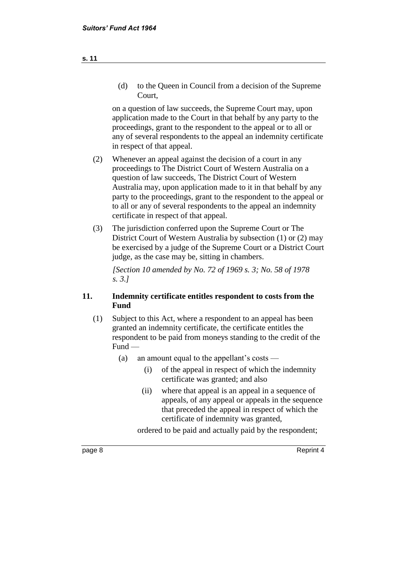(d) to the Queen in Council from a decision of the Supreme Court,

on a question of law succeeds, the Supreme Court may, upon application made to the Court in that behalf by any party to the proceedings, grant to the respondent to the appeal or to all or any of several respondents to the appeal an indemnity certificate in respect of that appeal.

- (2) Whenever an appeal against the decision of a court in any proceedings to The District Court of Western Australia on a question of law succeeds, The District Court of Western Australia may, upon application made to it in that behalf by any party to the proceedings, grant to the respondent to the appeal or to all or any of several respondents to the appeal an indemnity certificate in respect of that appeal.
- (3) The jurisdiction conferred upon the Supreme Court or The District Court of Western Australia by subsection (1) or (2) may be exercised by a judge of the Supreme Court or a District Court judge, as the case may be, sitting in chambers.

*[Section 10 amended by No. 72 of 1969 s. 3; No. 58 of 1978 s. 3.]*

#### **11. Indemnity certificate entitles respondent to costs from the Fund**

- (1) Subject to this Act, where a respondent to an appeal has been granted an indemnity certificate, the certificate entitles the respondent to be paid from moneys standing to the credit of the Fund —
	- (a) an amount equal to the appellant's costs
		- (i) of the appeal in respect of which the indemnity certificate was granted; and also
		- (ii) where that appeal is an appeal in a sequence of appeals, of any appeal or appeals in the sequence that preceded the appeal in respect of which the certificate of indemnity was granted,

ordered to be paid and actually paid by the respondent;

page 8 Reprint 4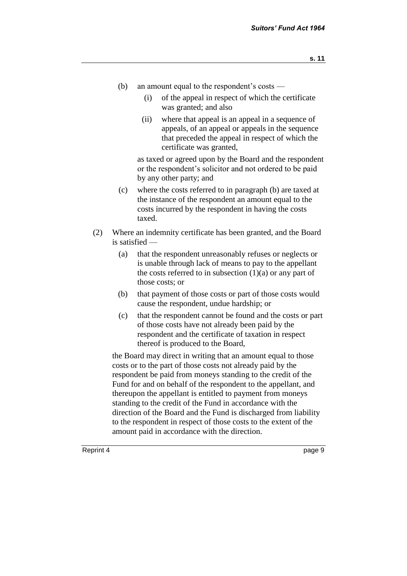- (b) an amount equal to the respondent's costs
	- (i) of the appeal in respect of which the certificate was granted; and also
	- (ii) where that appeal is an appeal in a sequence of appeals, of an appeal or appeals in the sequence that preceded the appeal in respect of which the certificate was granted,

as taxed or agreed upon by the Board and the respondent or the respondent's solicitor and not ordered to be paid by any other party; and

- (c) where the costs referred to in paragraph (b) are taxed at the instance of the respondent an amount equal to the costs incurred by the respondent in having the costs taxed.
- (2) Where an indemnity certificate has been granted, and the Board is satisfied —
	- (a) that the respondent unreasonably refuses or neglects or is unable through lack of means to pay to the appellant the costs referred to in subsection  $(1)(a)$  or any part of those costs; or
	- (b) that payment of those costs or part of those costs would cause the respondent, undue hardship; or
	- (c) that the respondent cannot be found and the costs or part of those costs have not already been paid by the respondent and the certificate of taxation in respect thereof is produced to the Board,

the Board may direct in writing that an amount equal to those costs or to the part of those costs not already paid by the respondent be paid from moneys standing to the credit of the Fund for and on behalf of the respondent to the appellant, and thereupon the appellant is entitled to payment from moneys standing to the credit of the Fund in accordance with the direction of the Board and the Fund is discharged from liability to the respondent in respect of those costs to the extent of the amount paid in accordance with the direction.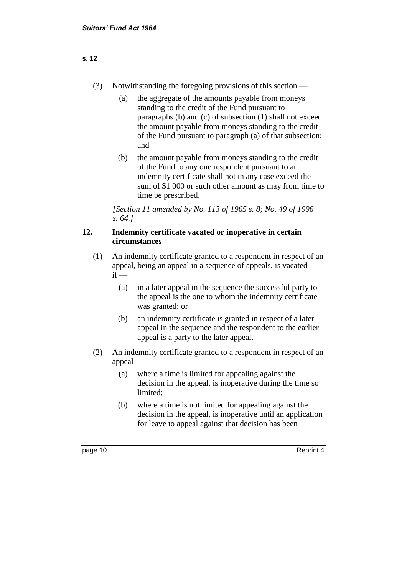- (3) Notwithstanding the foregoing provisions of this section
	- (a) the aggregate of the amounts payable from moneys standing to the credit of the Fund pursuant to paragraphs (b) and (c) of subsection (1) shall not exceed the amount payable from moneys standing to the credit of the Fund pursuant to paragraph (a) of that subsection; and
	- (b) the amount payable from moneys standing to the credit of the Fund to any one respondent pursuant to an indemnity certificate shall not in any case exceed the sum of \$1 000 or such other amount as may from time to time be prescribed.

*[Section 11 amended by No. 113 of 1965 s. 8; No. 49 of 1996 s. 64.]*

#### **12. Indemnity certificate vacated or inoperative in certain circumstances**

- (1) An indemnity certificate granted to a respondent in respect of an appeal, being an appeal in a sequence of appeals, is vacated  $if -$ 
	- (a) in a later appeal in the sequence the successful party to the appeal is the one to whom the indemnity certificate was granted; or
	- (b) an indemnity certificate is granted in respect of a later appeal in the sequence and the respondent to the earlier appeal is a party to the later appeal.
- (2) An indemnity certificate granted to a respondent in respect of an appeal —
	- (a) where a time is limited for appealing against the decision in the appeal, is inoperative during the time so limited;
	- (b) where a time is not limited for appealing against the decision in the appeal, is inoperative until an application for leave to appeal against that decision has been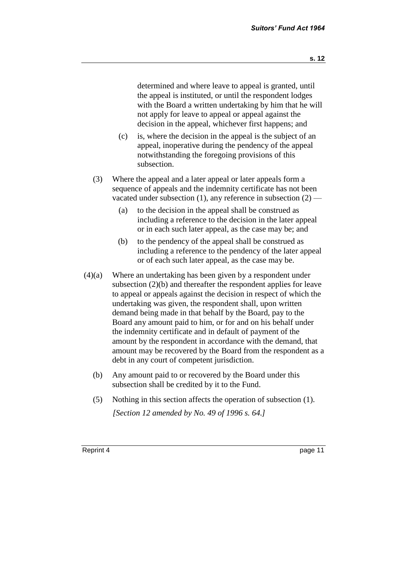determined and where leave to appeal is granted, until the appeal is instituted, or until the respondent lodges with the Board a written undertaking by him that he will not apply for leave to appeal or appeal against the decision in the appeal, whichever first happens; and

- (c) is, where the decision in the appeal is the subject of an appeal, inoperative during the pendency of the appeal notwithstanding the foregoing provisions of this subsection.
- (3) Where the appeal and a later appeal or later appeals form a sequence of appeals and the indemnity certificate has not been vacated under subsection  $(1)$ , any reference in subsection  $(2)$  —
	- (a) to the decision in the appeal shall be construed as including a reference to the decision in the later appeal or in each such later appeal, as the case may be; and
	- (b) to the pendency of the appeal shall be construed as including a reference to the pendency of the later appeal or of each such later appeal, as the case may be.
- (4)(a) Where an undertaking has been given by a respondent under subsection (2)(b) and thereafter the respondent applies for leave to appeal or appeals against the decision in respect of which the undertaking was given, the respondent shall, upon written demand being made in that behalf by the Board, pay to the Board any amount paid to him, or for and on his behalf under the indemnity certificate and in default of payment of the amount by the respondent in accordance with the demand, that amount may be recovered by the Board from the respondent as a debt in any court of competent jurisdiction.
	- (b) Any amount paid to or recovered by the Board under this subsection shall be credited by it to the Fund.
	- (5) Nothing in this section affects the operation of subsection (1). *[Section 12 amended by No. 49 of 1996 s. 64.]*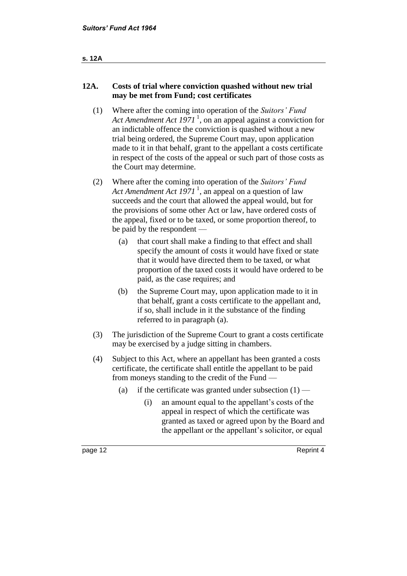#### **s. 12A**

### **12A. Costs of trial where conviction quashed without new trial may be met from Fund; cost certificates**

- (1) Where after the coming into operation of the *Suitors' Fund Act Amendment Act 1971* <sup>1</sup> , on an appeal against a conviction for an indictable offence the conviction is quashed without a new trial being ordered, the Supreme Court may, upon application made to it in that behalf, grant to the appellant a costs certificate in respect of the costs of the appeal or such part of those costs as the Court may determine.
- (2) Where after the coming into operation of the *Suitors' Fund Act Amendment Act 1971* <sup>1</sup> , an appeal on a question of law succeeds and the court that allowed the appeal would, but for the provisions of some other Act or law, have ordered costs of the appeal, fixed or to be taxed, or some proportion thereof, to be paid by the respondent —
	- (a) that court shall make a finding to that effect and shall specify the amount of costs it would have fixed or state that it would have directed them to be taxed, or what proportion of the taxed costs it would have ordered to be paid, as the case requires; and
	- (b) the Supreme Court may, upon application made to it in that behalf, grant a costs certificate to the appellant and, if so, shall include in it the substance of the finding referred to in paragraph (a).
- (3) The jurisdiction of the Supreme Court to grant a costs certificate may be exercised by a judge sitting in chambers.
- (4) Subject to this Act, where an appellant has been granted a costs certificate, the certificate shall entitle the appellant to be paid from moneys standing to the credit of the Fund —
	- (a) if the certificate was granted under subsection  $(1)$ 
		- (i) an amount equal to the appellant's costs of the appeal in respect of which the certificate was granted as taxed or agreed upon by the Board and the appellant or the appellant's solicitor, or equal

page 12 Reprint 4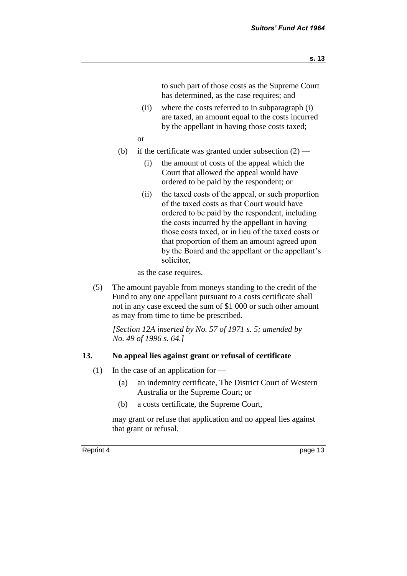to such part of those costs as the Supreme Court has determined, as the case requires; and

- (ii) where the costs referred to in subparagraph (i) are taxed, an amount equal to the costs incurred by the appellant in having those costs taxed;
- or
- (b) if the certificate was granted under subsection  $(2)$ 
	- (i) the amount of costs of the appeal which the Court that allowed the appeal would have ordered to be paid by the respondent; or
	- (ii) the taxed costs of the appeal, or such proportion of the taxed costs as that Court would have ordered to be paid by the respondent, including the costs incurred by the appellant in having those costs taxed, or in lieu of the taxed costs or that proportion of them an amount agreed upon by the Board and the appellant or the appellant's solicitor,

as the case requires.

(5) The amount payable from moneys standing to the credit of the Fund to any one appellant pursuant to a costs certificate shall not in any case exceed the sum of \$1 000 or such other amount as may from time to time be prescribed.

*[Section 12A inserted by No. 57 of 1971 s. 5; amended by No. 49 of 1996 s. 64.]*

#### **13. No appeal lies against grant or refusal of certificate**

- (1) In the case of an application for  $-$ 
	- (a) an indemnity certificate, The District Court of Western Australia or the Supreme Court; or
	- (b) a costs certificate, the Supreme Court,

may grant or refuse that application and no appeal lies against that grant or refusal.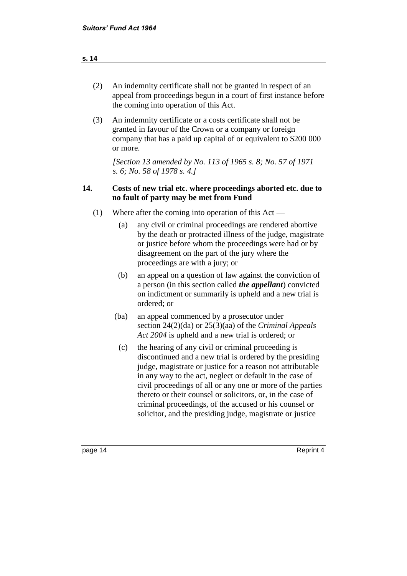| (2) | An indemnity certificate shall not be granted in respect of an    |
|-----|-------------------------------------------------------------------|
|     | appeal from proceedings begun in a court of first instance before |
|     | the coming into operation of this Act.                            |

(3) An indemnity certificate or a costs certificate shall not be granted in favour of the Crown or a company or foreign company that has a paid up capital of or equivalent to \$200 000 or more.

*[Section 13 amended by No. 113 of 1965 s. 8; No. 57 of 1971 s. 6; No. 58 of 1978 s. 4.]*

#### **14. Costs of new trial etc. where proceedings aborted etc. due to no fault of party may be met from Fund**

- (1) Where after the coming into operation of this Act
	- (a) any civil or criminal proceedings are rendered abortive by the death or protracted illness of the judge, magistrate or justice before whom the proceedings were had or by disagreement on the part of the jury where the proceedings are with a jury; or
	- (b) an appeal on a question of law against the conviction of a person (in this section called *the appellant*) convicted on indictment or summarily is upheld and a new trial is ordered; or
	- (ba) an appeal commenced by a prosecutor under section 24(2)(da) or 25(3)(aa) of the *Criminal Appeals Act 2004* is upheld and a new trial is ordered; or
		- (c) the hearing of any civil or criminal proceeding is discontinued and a new trial is ordered by the presiding judge, magistrate or justice for a reason not attributable in any way to the act, neglect or default in the case of civil proceedings of all or any one or more of the parties thereto or their counsel or solicitors, or, in the case of criminal proceedings, of the accused or his counsel or solicitor, and the presiding judge, magistrate or justice

#### **s. 14**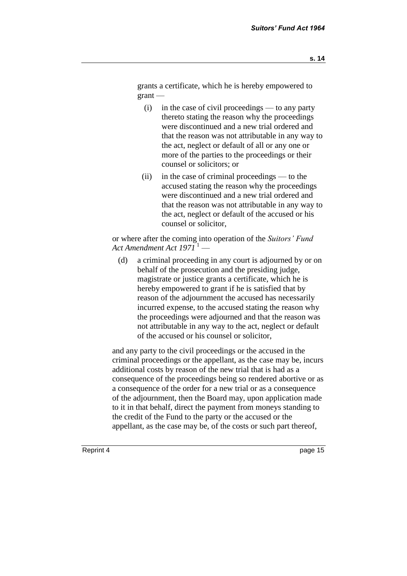grants a certificate, which he is hereby empowered to grant —

- (i) in the case of civil proceedings to any party thereto stating the reason why the proceedings were discontinued and a new trial ordered and that the reason was not attributable in any way to the act, neglect or default of all or any one or more of the parties to the proceedings or their counsel or solicitors; or
- (ii) in the case of criminal proceedings to the accused stating the reason why the proceedings were discontinued and a new trial ordered and that the reason was not attributable in any way to the act, neglect or default of the accused or his counsel or solicitor,

or where after the coming into operation of the *Suitors' Fund Act Amendment Act 1971* <sup>1</sup> —

(d) a criminal proceeding in any court is adjourned by or on behalf of the prosecution and the presiding judge, magistrate or justice grants a certificate, which he is hereby empowered to grant if he is satisfied that by reason of the adjournment the accused has necessarily incurred expense, to the accused stating the reason why the proceedings were adjourned and that the reason was not attributable in any way to the act, neglect or default of the accused or his counsel or solicitor,

and any party to the civil proceedings or the accused in the criminal proceedings or the appellant, as the case may be, incurs additional costs by reason of the new trial that is had as a consequence of the proceedings being so rendered abortive or as a consequence of the order for a new trial or as a consequence of the adjournment, then the Board may, upon application made to it in that behalf, direct the payment from moneys standing to the credit of the Fund to the party or the accused or the appellant, as the case may be, of the costs or such part thereof,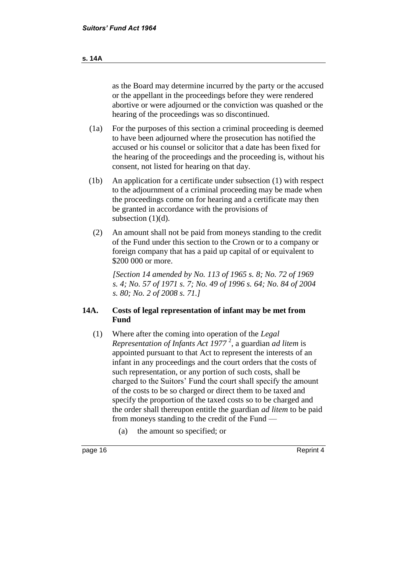as the Board may determine incurred by the party or the accused or the appellant in the proceedings before they were rendered abortive or were adjourned or the conviction was quashed or the hearing of the proceedings was so discontinued.

- (1a) For the purposes of this section a criminal proceeding is deemed to have been adjourned where the prosecution has notified the accused or his counsel or solicitor that a date has been fixed for the hearing of the proceedings and the proceeding is, without his consent, not listed for hearing on that day.
- (1b) An application for a certificate under subsection (1) with respect to the adjournment of a criminal proceeding may be made when the proceedings come on for hearing and a certificate may then be granted in accordance with the provisions of subsection  $(1)(d)$ .
	- (2) An amount shall not be paid from moneys standing to the credit of the Fund under this section to the Crown or to a company or foreign company that has a paid up capital of or equivalent to \$200 000 or more.

*[Section 14 amended by No. 113 of 1965 s. 8; No. 72 of 1969 s. 4; No. 57 of 1971 s. 7; No. 49 of 1996 s. 64; No. 84 of 2004 s. 80; No. 2 of 2008 s. 71.]*

#### **14A. Costs of legal representation of infant may be met from Fund**

- (1) Where after the coming into operation of the *Legal Representation of Infants Act 1977* <sup>2</sup> , a guardian *ad litem* is appointed pursuant to that Act to represent the interests of an infant in any proceedings and the court orders that the costs of such representation, or any portion of such costs, shall be charged to the Suitors' Fund the court shall specify the amount of the costs to be so charged or direct them to be taxed and specify the proportion of the taxed costs so to be charged and the order shall thereupon entitle the guardian *ad litem* to be paid from moneys standing to the credit of the Fund —
	- (a) the amount so specified; or
- 

page 16 Reprint 4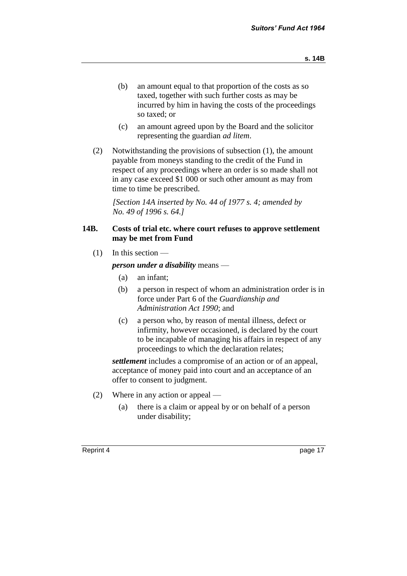- (b) an amount equal to that proportion of the costs as so taxed, together with such further costs as may be incurred by him in having the costs of the proceedings so taxed; or
- (c) an amount agreed upon by the Board and the solicitor representing the guardian *ad litem*.
- (2) Notwithstanding the provisions of subsection (1), the amount payable from moneys standing to the credit of the Fund in respect of any proceedings where an order is so made shall not in any case exceed \$1 000 or such other amount as may from time to time be prescribed.

*[Section 14A inserted by No. 44 of 1977 s. 4; amended by No. 49 of 1996 s. 64.]*

#### **14B. Costs of trial etc. where court refuses to approve settlement may be met from Fund**

 $(1)$  In this section —

*person under a disability* means —

- (a) an infant;
- (b) a person in respect of whom an administration order is in force under Part 6 of the *Guardianship and Administration Act 1990*; and
- (c) a person who, by reason of mental illness, defect or infirmity, however occasioned, is declared by the court to be incapable of managing his affairs in respect of any proceedings to which the declaration relates;

*settlement* includes a compromise of an action or of an appeal, acceptance of money paid into court and an acceptance of an offer to consent to judgment.

- (2) Where in any action or appeal
	- (a) there is a claim or appeal by or on behalf of a person under disability;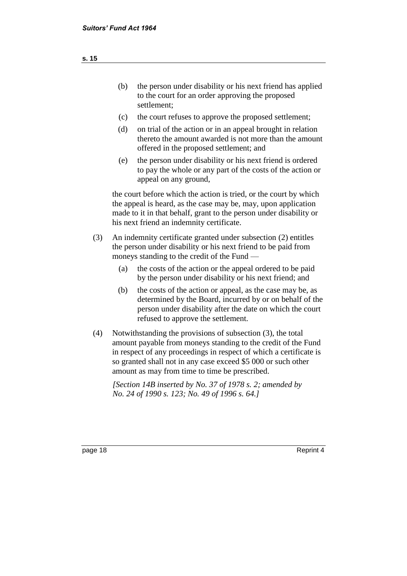- (c) the court refuses to approve the proposed settlement;
- (d) on trial of the action or in an appeal brought in relation thereto the amount awarded is not more than the amount offered in the proposed settlement; and
- (e) the person under disability or his next friend is ordered to pay the whole or any part of the costs of the action or appeal on any ground,

the court before which the action is tried, or the court by which the appeal is heard, as the case may be, may, upon application made to it in that behalf, grant to the person under disability or his next friend an indemnity certificate.

- (3) An indemnity certificate granted under subsection (2) entitles the person under disability or his next friend to be paid from moneys standing to the credit of the Fund —
	- (a) the costs of the action or the appeal ordered to be paid by the person under disability or his next friend; and
	- (b) the costs of the action or appeal, as the case may be, as determined by the Board, incurred by or on behalf of the person under disability after the date on which the court refused to approve the settlement.
- (4) Notwithstanding the provisions of subsection (3), the total amount payable from moneys standing to the credit of the Fund in respect of any proceedings in respect of which a certificate is so granted shall not in any case exceed \$5 000 or such other amount as may from time to time be prescribed.

*[Section 14B inserted by No. 37 of 1978 s. 2; amended by No. 24 of 1990 s. 123; No. 49 of 1996 s. 64.]*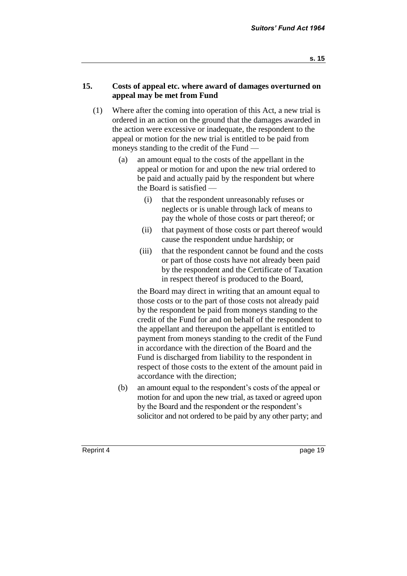#### **15. Costs of appeal etc. where award of damages overturned on appeal may be met from Fund**

- (1) Where after the coming into operation of this Act, a new trial is ordered in an action on the ground that the damages awarded in the action were excessive or inadequate, the respondent to the appeal or motion for the new trial is entitled to be paid from moneys standing to the credit of the Fund —
	- (a) an amount equal to the costs of the appellant in the appeal or motion for and upon the new trial ordered to be paid and actually paid by the respondent but where the Board is satisfied —
		- (i) that the respondent unreasonably refuses or neglects or is unable through lack of means to pay the whole of those costs or part thereof; or
		- (ii) that payment of those costs or part thereof would cause the respondent undue hardship; or
		- (iii) that the respondent cannot be found and the costs or part of those costs have not already been paid by the respondent and the Certificate of Taxation in respect thereof is produced to the Board,

the Board may direct in writing that an amount equal to those costs or to the part of those costs not already paid by the respondent be paid from moneys standing to the credit of the Fund for and on behalf of the respondent to the appellant and thereupon the appellant is entitled to payment from moneys standing to the credit of the Fund in accordance with the direction of the Board and the Fund is discharged from liability to the respondent in respect of those costs to the extent of the amount paid in accordance with the direction;

(b) an amount equal to the respondent's costs of the appeal or motion for and upon the new trial, as taxed or agreed upon by the Board and the respondent or the respondent's solicitor and not ordered to be paid by any other party; and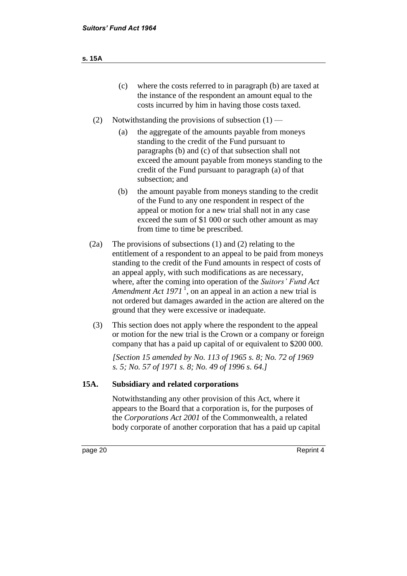- (c) where the costs referred to in paragraph (b) are taxed at the instance of the respondent an amount equal to the costs incurred by him in having those costs taxed.
- (2) Notwithstanding the provisions of subsection  $(1)$ 
	- (a) the aggregate of the amounts payable from moneys standing to the credit of the Fund pursuant to paragraphs (b) and (c) of that subsection shall not exceed the amount payable from moneys standing to the credit of the Fund pursuant to paragraph (a) of that subsection; and
	- (b) the amount payable from moneys standing to the credit of the Fund to any one respondent in respect of the appeal or motion for a new trial shall not in any case exceed the sum of \$1 000 or such other amount as may from time to time be prescribed.
- (2a) The provisions of subsections (1) and (2) relating to the entitlement of a respondent to an appeal to be paid from moneys standing to the credit of the Fund amounts in respect of costs of an appeal apply, with such modifications as are necessary, where, after the coming into operation of the *Suitors' Fund Act*  Amendment Act 1971<sup>1</sup>, on an appeal in an action a new trial is not ordered but damages awarded in the action are altered on the ground that they were excessive or inadequate.
- (3) This section does not apply where the respondent to the appeal or motion for the new trial is the Crown or a company or foreign company that has a paid up capital of or equivalent to \$200 000.

*[Section 15 amended by No. 113 of 1965 s. 8; No. 72 of 1969 s. 5; No. 57 of 1971 s. 8; No. 49 of 1996 s. 64.]*

#### **15A. Subsidiary and related corporations**

Notwithstanding any other provision of this Act, where it appears to the Board that a corporation is, for the purposes of the *Corporations Act 2001* of the Commonwealth, a related body corporate of another corporation that has a paid up capital

page 20 Reprint 4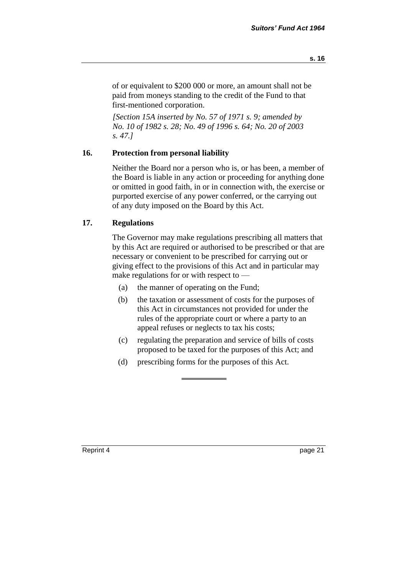*[Section 15A inserted by No. 57 of 1971 s. 9; amended by No. 10 of 1982 s. 28; No. 49 of 1996 s. 64; No. 20 of 2003 s. 47.]*

#### **16. Protection from personal liability**

Neither the Board nor a person who is, or has been, a member of the Board is liable in any action or proceeding for anything done or omitted in good faith, in or in connection with, the exercise or purported exercise of any power conferred, or the carrying out of any duty imposed on the Board by this Act.

#### **17. Regulations**

The Governor may make regulations prescribing all matters that by this Act are required or authorised to be prescribed or that are necessary or convenient to be prescribed for carrying out or giving effect to the provisions of this Act and in particular may make regulations for or with respect to —

- (a) the manner of operating on the Fund;
- (b) the taxation or assessment of costs for the purposes of this Act in circumstances not provided for under the rules of the appropriate court or where a party to an appeal refuses or neglects to tax his costs;
- (c) regulating the preparation and service of bills of costs proposed to be taxed for the purposes of this Act; and
- (d) prescribing forms for the purposes of this Act.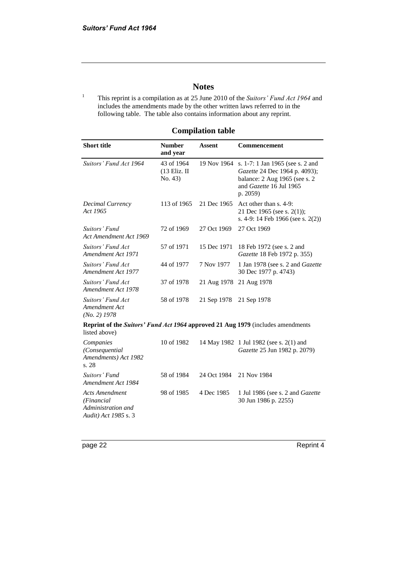#### **Notes**

<sup>1</sup> This reprint is a compilation as at 25 June 2010 of the *Suitors' Fund Act 1964* and includes the amendments made by the other written laws referred to in the following table. The table also contains information about any reprint.

| <b>Short title</b>                                                                               | <b>Number</b><br>and year               | <b>Assent</b> | Commencement                                                                                                                              |  |
|--------------------------------------------------------------------------------------------------|-----------------------------------------|---------------|-------------------------------------------------------------------------------------------------------------------------------------------|--|
| Suitors' Fund Act 1964                                                                           | 43 of 1964<br>$(13$ Eliz. II<br>No. 43) | 19 Nov 1964   | s. 1-7: 1 Jan 1965 (see s. 2 and<br>Gazette 24 Dec 1964 p. 4093);<br>balance: 2 Aug 1965 (see s. 2<br>and Gazette 16 Jul 1965<br>p. 2059) |  |
| Decimal Currency<br>Act 1965                                                                     | 113 of 1965                             | 21 Dec 1965   | Act other than s. 4-9:<br>21 Dec 1965 (see s. 2(1));<br>s. 4-9: 14 Feb 1966 (see s. $2(2)$ )                                              |  |
| Suitors' Fund<br>Act Amendment Act 1969                                                          | 72 of 1969                              | 27 Oct 1969   | 27 Oct 1969                                                                                                                               |  |
| Suitors' Fund Act<br>Amendment Act 1971                                                          | 57 of 1971                              | 15 Dec 1971   | 18 Feb 1972 (see s. 2 and<br>Gazette 18 Feb 1972 p. 355)                                                                                  |  |
| Suitors' Fund Act<br>Amendment Act 1977                                                          | 44 of 1977                              | 7 Nov 1977    | 1 Jan 1978 (see s. 2 and Gazette<br>30 Dec 1977 p. 4743)                                                                                  |  |
| Suitors' Fund Act<br>Amendment Act 1978                                                          | 37 of 1978                              | 21 Aug 1978   | 21 Aug 1978                                                                                                                               |  |
| Suitors' Fund Act<br>Amendment Act<br>$(No. 2)$ 1978                                             | 58 of 1978                              | 21 Sep 1978   | 21 Sep 1978                                                                                                                               |  |
| Reprint of the Suitors' Fund Act 1964 approved 21 Aug 1979 (includes amendments<br>listed above) |                                         |               |                                                                                                                                           |  |
| Companies<br>(Consequential<br>Amendments) Act 1982<br>s.28                                      | 10 of 1982                              |               | 14 May 1982 1 Jul 1982 (see s. 2(1) and<br>Gazette 25 Jun 1982 p. 2079)                                                                   |  |
| Suitors' Fund<br>Amendment Act 1984                                                              | 58 of 1984                              | 24 Oct 1984   | 21 Nov 1984                                                                                                                               |  |
| <b>Acts Amendment</b><br>(Financial<br>Administration and<br>Audit) Act 1985 s. 3                | 98 of 1985                              | 4 Dec 1985    | 1 Jul 1986 (see s. 2 and <i>Gazette</i><br>30 Jun 1986 p. 2255)                                                                           |  |

#### **Compilation table**

page 22 Reprint 4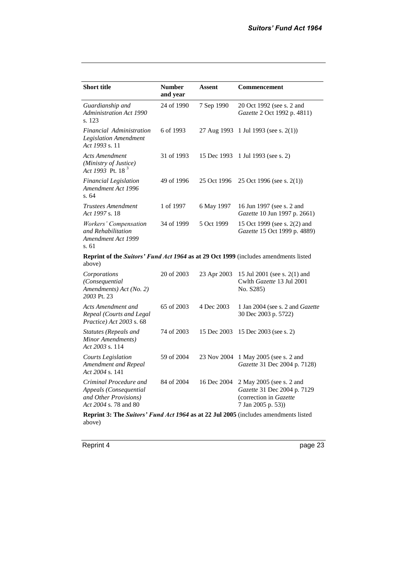| <b>Short title</b>                                                                                   | <b>Number</b><br>and year | <b>Assent</b> | <b>Commencement</b>                                                                                     |  |  |
|------------------------------------------------------------------------------------------------------|---------------------------|---------------|---------------------------------------------------------------------------------------------------------|--|--|
| Guardianship and<br><b>Administration Act 1990</b><br>s. 123                                         | 24 of 1990                | 7 Sep 1990    | 20 Oct 1992 (see s. 2 and<br>Gazette 2 Oct 1992 p. 4811)                                                |  |  |
| Financial Administration<br>Legislation Amendment<br>Act 1993 s. 11                                  | 6 of 1993                 | 27 Aug 1993   | 1 Jul 1993 (see s. $2(1)$ )                                                                             |  |  |
| <b>Acts Amendment</b><br>(Ministry of Justice)<br>Act 1993 Pt. 18 <sup>3</sup>                       | 31 of 1993                | 15 Dec 1993   | 1 Jul 1993 (see s. 2)                                                                                   |  |  |
| <b>Financial Legislation</b><br>Amendment Act 1996<br>s. 64                                          | 49 of 1996                | 25 Oct 1996   | 25 Oct 1996 (see s. 2(1))                                                                               |  |  |
| Trustees Amendment<br>Act 1997 s. 18                                                                 | 1 of 1997                 | 6 May 1997    | 16 Jun 1997 (see s. 2 and<br>Gazette 10 Jun 1997 p. 2661)                                               |  |  |
| Workers' Compensation<br>and Rehabilitation<br>Amendment Act 1999<br>s. 61                           | 34 of 1999                | 5 Oct 1999    | 15 Oct 1999 (see s. 2(2) and<br>Gazette 15 Oct 1999 p. 4889)                                            |  |  |
| <b>Reprint of the Suitors' Fund Act 1964 as at 29 Oct 1999</b> (includes amendments listed<br>above) |                           |               |                                                                                                         |  |  |
| Corporations<br>(Consequential<br>Amendments) Act (No. 2)<br>2003 Pt. 23                             | 20 of 2003                | 23 Apr 2003   | 15 Jul 2001 (see s. 2(1) and<br>Cwlth Gazette 13 Jul 2001<br>No. S285)                                  |  |  |
| Acts Amendment and<br>Repeal (Courts and Legal<br><i>Practice</i> Act 2003 s. 68                     | 65 of 2003                | 4 Dec 2003    | 1 Jan 2004 (see s. 2 and Gazette<br>30 Dec 2003 p. 5722)                                                |  |  |
| Statutes (Repeals and<br>Minor Amendments)<br>Act 2003 s. 114                                        | 74 of 2003                | 15 Dec 2003   | 15 Dec 2003 (see s. 2)                                                                                  |  |  |
| <b>Courts Legislation</b><br>Amendment and Repeal<br>Act 2004 s. 141                                 | 59 of 2004                | 23 Nov 2004   | 1 May 2005 (see s. 2 and<br>Gazette 31 Dec 2004 p. 7128)                                                |  |  |
| Criminal Procedure and<br>Appeals (Consequential<br>and Other Provisions)<br>Act 2004 s. 78 and 80   | 84 of 2004                | 16 Dec 2004   | 2 May 2005 (see s. 2 and<br>Gazette 31 Dec 2004 p. 7129<br>(correction in Gazette<br>7 Jan 2005 p. 53)) |  |  |
| Reprint 3: The Suitors' Fund Act 1964 as at 22 Jul 2005 (includes amendments listed                  |                           |               |                                                                                                         |  |  |

Reprint 4 page 23

above)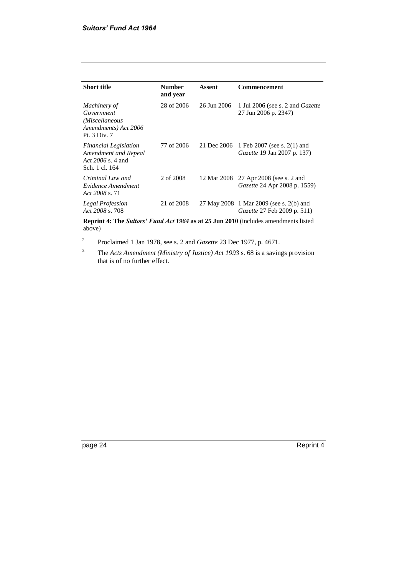| <b>Short title</b>                                                                                   | <b>Number</b><br>and year | Assent      | <b>Commencement</b>                                                           |
|------------------------------------------------------------------------------------------------------|---------------------------|-------------|-------------------------------------------------------------------------------|
| Machinery of<br>Government<br>(Miscellaneous<br>Amendments) Act 2006<br>Pt. 3 Div. 7                 | 28 of 2006                | 26 Jun 2006 | 1 Jul 2006 (see s. 2 and <i>Gazette</i><br>27 Jun 2006 p. 2347)               |
| <b>Financial Legislation</b><br>Amendment and Repeal<br>Act $2006$ s. 4 and<br>Sch. 1 cl. 164        | 77 of 2006                | 21 Dec 2006 | 1 Feb 2007 (see s. 2(1) and<br><i>Gazette</i> 19 Jan 2007 p. 137)             |
| Criminal Law and<br>Evidence Amendment<br>Act 2008 s. 71                                             | 2 of 2008                 | 12 Mar 2008 | 27 Apr 2008 (see s. 2 and<br><i>Gazette</i> 24 Apr 2008 p. 1559)              |
| Legal Profession<br>Act 2008 s. 708                                                                  | 21 of 2008                |             | 27 May 2008 1 Mar 2009 (see s. 2(b) and<br><i>Gazette</i> 27 Feb 2009 p. 511) |
| <b>Reprint 4: The Suitors' Fund Act 1964 as at 25 Jun 2010</b> (includes amendments listed<br>above) |                           |             |                                                                               |

2 Proclaimed 1 Jan 1978, see s. 2 and *Gazette* 23 Dec 1977, p. 4671.

<sup>3</sup> The *Acts Amendment (Ministry of Justice) Act 1993* s. 68 is a savings provision that is of no further effect.

page 24 Reprint 4